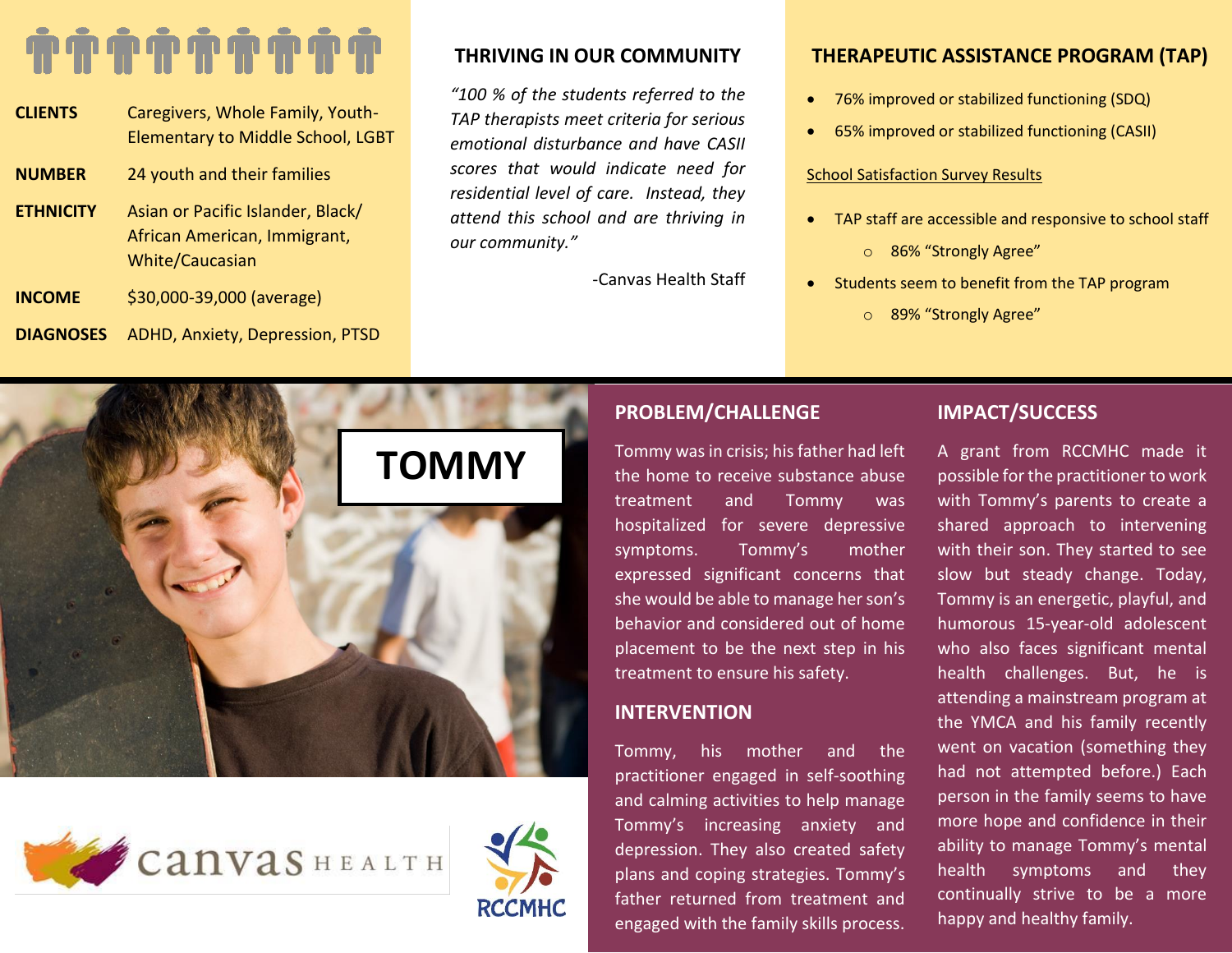# 

| <b>CLIENTS</b>   | Caregivers, Whole Family, Youth-<br><b>Elementary to Middle School, LGBT</b>         |
|------------------|--------------------------------------------------------------------------------------|
| <b>NUMBER</b>    | 24 youth and their families                                                          |
| <b>ETHNICITY</b> | Asian or Pacific Islander, Black/<br>African American, Immigrant,<br>White/Caucasian |
| <b>INCOME</b>    | \$30,000-39,000 (average)                                                            |
| <b>DIAGNOSES</b> | ADHD, Anxiety, Depression, PTSD                                                      |

# **THRIVING IN OUR COMMUNITY**

*"100 % of the students referred to the TAP therapists meet criteria for serious emotional disturbance and have CASII scores that would indicate need for residential level of care. Instead, they attend this school and are thriving in our community."*

-Canvas Health Staff

# **THERAPEUTIC ASSISTANCE PROGRAM (TAP)**

- 76% improved or stabilized functioning (SDQ)
- 65% improved or stabilized functioning (CASII)

### School Satisfaction Survey Results

- TAP staff are accessible and responsive to school staff
	- o 86% "Strongly Agree"
- Students seem to benefit from the TAP program
	- o 89% "Strongly Agree"

# **TOMMY**





# **PROBLEM/CHALLENGE**

Tommy was in crisis; his father had left the home to receive substance abuse treatment and Tommy was hospitalized for severe depressive symptoms. Tommy's mother expressed significant concerns that she would be able to manage her son's behavior and considered out of home placement to be the next step in his treatment to ensure his safety.

# **INTERVENTION**

Tommy, his mother and the practitioner engaged in self-soothing and calming activities to help manage Tommy's increasing anxiety and depression. They also created safety plans and coping strategies. Tommy's father returned from treatment and engaged with the family skills process.

# **IMPACT/SUCCESS**

A grant from RCCMHC made it possible for the practitioner to work with Tommy's parents to create a shared approach to intervening with their son. They started to see slow but steady change. Today, Tommy is an energetic, playful, and humorous 15-year-old adolescent who also faces significant mental health challenges. But, he is attending a mainstream program at the YMCA and his family recently went on vacation (something they had not attempted before.) Each person in the family seems to have more hope and confidence in their ability to manage Tommy's mental health symptoms and they continually strive to be a more happy and healthy family.